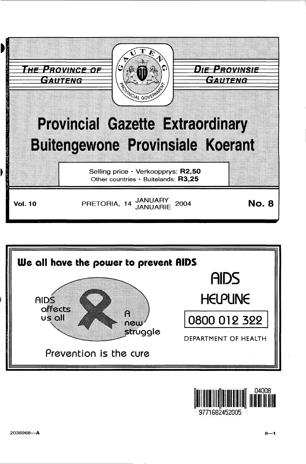



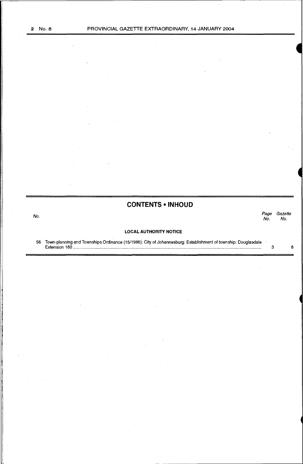# **CONTENTS • INHOUD**

No. Page Gazette

Page Gazet.<br>No. No.

# **LOCAL AUTHORITY NOTICE**

56 Town-planning and Townships Ordinance (15/1986): City of Johannesburg: Establishment of township: Douglasdale Extension 160 .............................................................................................................................................................. .. 3 8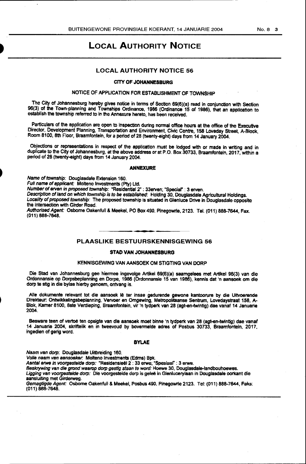# LOCAL AUTHORITY NOTICE

# LOCAL AUTHORITY NOTICE 56

## CITY OF JOHANNESBURG

# NOTICE OF APPLICATION FOR ESTABLISHMENT OF TOWNSHIP

The City of Johannesburg hereby giVes notice in terms of Section 69(6)(a) read in conjunction with Section 96(3} of the Town-planning and Townships Ordinance, 1986 (Ordinance 15 of 1986), that an application to establish the township referred to in the Annexure hereto, has been received.

Particulars of the application are open to inspection during normal office hours at the office of the Executive Director, Development Planning, Transportation and Environment, Civic Centre, 158 Loveday Street, A-Block, Room 8100, 8th Floor, Braamfontein, for a period of 28 (twenty-eight) days from 14 January 2004.

Objections or representations in respect of the application must be lodged with or made in writing and in duplicate to the City of Johannesburg, at the above address or at P.O. Box 30733, Braamfonteln, 2017, within a period of 28 (twenty-eight} days from 14 January 2004.

#### ANNEXURE

Name of township: Douglasdale Extension 160.

Full name of applicant: Molteno Investments (Pty) Ltd.

Number of erven in proposed township: "Residential 2" : 33eNen; "Special" : 3 erven.

Description of land on which township is to *be* established: Holding 30, Douglasdale Agricultural Holdings. Locality of proposed township: The proposed township is situated in Glenluce Drive in Douglasdale opposite the intersection with Girder Road.

Authorised Agent: Osbome Oakenfull & Meekel, PO Box 490, Pinegowrie, 2123. Tel. (011) 888-7644, Fax. (011) 888-7648.

# PLAASLIKE BESTUURSKENNISGEWING 56

#### STAO VAN JOHANNESBURG

#### KENNISGEWING VAN AANSOEK OM STIGTING VAN DORP

Die Stad van Johannesburg gee hiermee ingevolge Artikel 69(6)(a) saamgelees met Artikel 96(3) van die Ordonnansie op Dorpsbeplanning en Dorpe, 1986 (Ordonnansie 15 van 1986), kennls dat 'n aansoek om die dorp te stig in die bylae hierby genoem, ontvang is.

Alle dokumente relevant tot die aansoek lê ter insae gedurende gewone kantoorure by die Uitvoerende DlrekteUr: Ontwikkelingsbeplanning, Vervoer en Omgewing, Metropolitaanse sentrum. Lovedaystraat 158, A-Biok, Kamer 8100, 8ste Verdieping, Braamfontein. vir 'n tydperk van 28 {agt-en-twintig} dae vanaf 14 Januarie 2004.

Besware teen of vertoe ten opsigte van die aansoek moet binne 'n tydperk van 28 (agt-en-lwintig) dae vanaf 14 Januarie 2004, skriftelik en in tweevoud by bovennelde adres of Posbus 30733, Braamfontein, 2017, ingedien of gerig word.

## BYLAE

Naam van dorp: Douglasdale Uitbreiding 160.

Volle naam van aansoeker: Molteno Investments (Edms) Bpk.

Aantal erwe in voorgestelde dorp: "Residensieël 2 : 33 erwe; "Spesiaal" : 3 erwe.

Beskrywing van die grond waarop dorp gestig staan te word: Hoewe 30, Douglasdale-landbouhoewes.

Ligging van voorgestelde dorp: Die voorgestelde dorp is geleë in Glenlucerylaan in Douglasdale oorkant die

aansluiting met Girderweg.

Gemagtigde Agent: Osbome Oakenfull & Meekel, Posbus 490, Pinegowrle 2123. Tel: (011) 888·7644, Faks: (011} 888-7648.